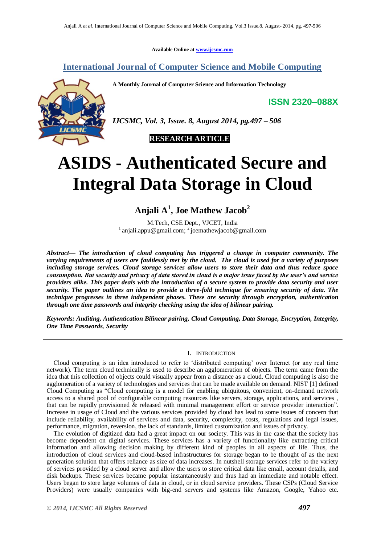**Available Online at [www.ijcsmc.com](http://www.ijcsmc.com/)**

## **International Journal of Computer Science and Mobile Computing**

**A Monthly Journal of Computer Science and Information Technology**

**ISSN 2320–088X**



*IJCSMC, Vol. 3, Issue. 8, August 2014, pg.497 – 506*



# **ASIDS - Authenticated Secure and Integral Data Storage in Cloud**

**Anjali A<sup>1</sup> , Joe Mathew Jacob<sup>2</sup>**

M.Tech, CSE Dept., VJCET, India  $1$ [anjali.appu@gmail.com;](mailto:1%20anjali.appu@gmail.com)  $2$  joemathewjacob@gmail.com

*Abstract— The introduction of cloud computing has triggered a change in computer community. The varying requirements of users are faultlessly met by the cloud. The cloud is used for a variety of purposes including storage services. Cloud storage services allow users to store their data and thus reduce space consumption. But security and privacy of data stored in cloud is a major issue faced by the user's and service providers alike. This paper deals with the introduction of a secure system to provide data security and user security. The paper outlines an idea to provide a three-fold technique for ensuring security of data. The technique progresses in three independent phases. These are security through encryption, authentication through one time passwords and integrity checking using the idea of bilinear pairing.* 

*Keywords: Auditing, Authentication Bilinear pairing, Cloud Computing, Data Storage, Encryption, Integrity, One Time Passwords, Security*

## I. INTRODUCTION

Cloud computing is an idea introduced to refer to "distributed computing" over Internet (or any real time network). The term cloud technically is used to describe an agglomeration of objects. The term came from the idea that this collection of objects could visually appear from a distance as a cloud. Cloud computing is also the agglomeration of a variety of technologies and services that can be made available on demand. NIST [1] defined Cloud Computing as "Cloud computing is a model for enabling ubiquitous, convenient, on-demand network access to a shared pool of configurable computing resources like servers, storage, applications, and services , that can be rapidly provisioned & released with minimal management effort or service provider interaction". Increase in usage of Cloud and the various services provided by cloud has lead to some issues of concern that include reliability, availability of services and data, security, complexity, costs, regulations and legal issues, performance, migration, reversion, the lack of standards, limited customization and issues of privacy.

The evolution of digitized data had a great impact on our society. This was in the case that the society has become dependent on digital services. These services has a variety of functionality like extracting critical information and allowing decision making by different kind of peoples in all aspects of life. Thus, the introduction of cloud services and cloud-based infrastructures for storage began to be thought of as the next generation solution that offers reliance as size of data increases. In nutshell storage services refer to the variety of services provided by a cloud server and allow the users to store critical data like email, account details, and disk backups. These services became popular instantaneously and thus had an immediate and notable effect. Users began to store large volumes of data in cloud, or in cloud service providers. These CSPs (Cloud Service Providers) were usually companies with big-end servers and systems like Amazon, Google, Yahoo etc.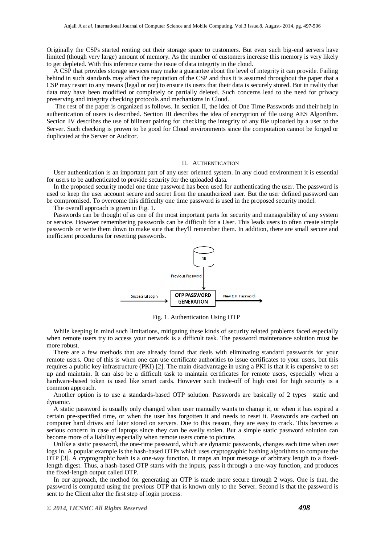Originally the CSPs started renting out their storage space to customers. But even such big-end servers have limited (though very large) amount of memory. As the number of customers increase this memory is very likely to get depleted. With this inference came the issue of data integrity in the cloud.

A CSP that provides storage services may make a guarantee about the level of integrity it can provide. Failing behind in such standards may affect the reputation of the CSP and thus it is assumed throughout the paper that a CSP may resort to any means (legal or not) to ensure its users that their data is securely stored. But in reality that data may have been modified or completely or partially deleted. Such concerns lead to the need for privacy preserving and integrity checking protocols and mechanisms in Cloud.

The rest of the paper is organized as follows. In section II, the idea of One Time Passwords and their help in authentication of users is described. Section III describes the idea of encryption of file using AES Algorithm. Section IV describes the use of bilinear pairing for checking the integrity of any file uploaded by a user to the Server. Such checking is proven to be good for Cloud environments since the computation cannot be forged or duplicated at the Server or Auditor.

## II. AUTHENTICATION

User authentication is an important part of any user oriented system. In any cloud environment it is essential for users to be authenticated to provide security for the uploaded data.

In the proposed security model one time password has been used for authenticating the user. The password is used to keep the user account secure and secret from the unauthorized user. But the user defined password can be compromised. To overcome this difficulty one time password is used in the proposed security model.

The overall approach is given in Fig. 1.

Passwords can be thought of as one of the most important parts for security and manageability of any system or service. However remembering passwords can be difficult for a User. This leads users to often create simple passwords or write them down to make sure that they'll remember them. In addition, there are small secure and inefficient procedures for resetting passwords.



Fig. 1. Authentication Using OTP

While keeping in mind such limitations, mitigating these kinds of security related problems faced especially when remote users try to access your network is a difficult task. The password maintenance solution must be more robust.

There are a few methods that are already found that deals with eliminating standard passwords for your remote users. One of this is when one can use certificate authorities to issue certificates to your users, but this requires a public key infrastructure (PKI) [2]. The main disadvantage in using a PKI is that it is expensive to set up and maintain. It can also be a difficult task to maintain certificates for remote users, especially when a hardware-based token is used like smart cards. However such trade-off of high cost for high security is a common approach.

Another option is to use a standards-based OTP solution. Passwords are basically of 2 types –static and dynamic.

A static password is usually only changed when user manually wants to change it, or when it has expired a certain pre-specified time, or when the user has forgotten it and needs to reset it. Passwords are cached on computer hard drives and later stored on servers. Due to this reason, they are easy to crack. This becomes a serious concern in case of laptops since they can be easily stolen. But a simple static password solution can become more of a liability especially when remote users come to picture.

Unlike a static password, the one-time password, which are dynamic passwords, changes each time when user logs in. A popular example is the hash-based OTPs which uses cryptographic hashing algorithms to compute the OTP [3]. A cryptographic hash is a one-way function. It maps an input message of arbitrary length to a fixedlength digest. Thus, a hash-based OTP starts with the inputs, pass it through a one-way function, and produces the fixed-length output called OTP.

In our approach, the method for generating an OTP is made more secure through 2 ways. One is that, the password is computed using the previous OTP that is known only to the Server. Second is that the password is sent to the Client after the first step of login process.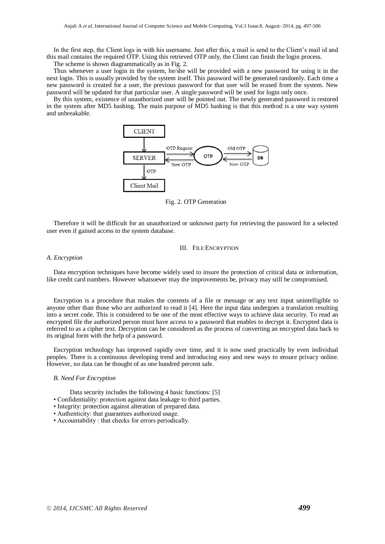In the first step, the Client logs in with his username. Just after this, a mail is send to the Client's mail id and this mail contains the required OTP. Using this retrieved OTP only, the Client can finish the login process.

The scheme is shown diagrammatically as in Fig. 2.

Thus whenever a user login in the system, he/she will be provided with a new password for using it in the next login. This is usually provided by the system itself. This password will be generated randomly. Each time a new password is created for a user, the previous password for that user will be erased from the system. New password will be updated for that particular user. A single password will be used for login only once.

By this system, existence of unauthorized user will be pointed out. The newly generated password is restored in the system after MD5 hashing. The main purpose of MD5 hashing is that this method is a one way system and unbreakable.



Fig. 2. OTP Generation

Therefore it will be difficult for an unauthorized or unknown party for retrieving the password for a selected user even if gained access to the system database.

## III. FILE ENCRYPTION

## *A. Encryption*

Data encryption techniques have become widely used to insure the protection of critical data or information, like credit card numbers. However whatsoever may the improvements be, privacy may still be compromised.

Encryption is a procedure that makes the contents of a file or message or any text input unintelligible to anyone other than those who are authorized to read it [4]. Here the input data undergoes a translation resulting into a secret code. This is considered to be one of the most effective ways to achieve data security. To read an encrypted file the authorized person must have access to a password that enables to decrypt it. Encrypted data is referred to as a cipher text. Decryption can be considered as the process of converting an encrypted data back to its original form with the help of a password.

Encryption technology has improved rapidly over time, and it is now used practically by even individual peoples. There is a continuous developing trend and introducing easy and new ways to ensure privacy online. However, no data can be thought of as one hundred percent safe.

## *B. Need For Encryption*

Data security includes the following 4 basic functions: [5]

- Confidentiality: protection against data leakage to third parties.
- Integrity: protection against alteration of prepared data.
- Authenticity: that guarantees authorized usage.
- Accountability : that checks for errors periodically.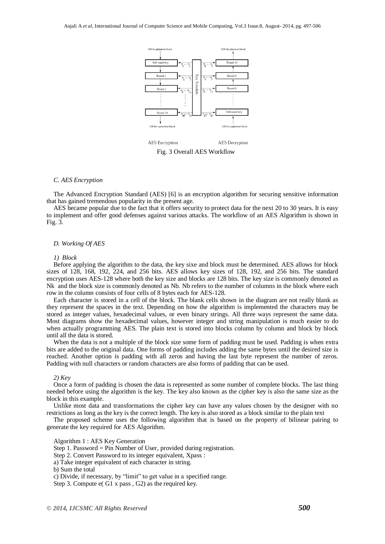

Fig. 3 Overall AES Workflow

## *C. AES Encryption*

The Advanced Encryption Standard (AES) [6] is an encryption algorithm for securing sensitive information that has gained tremendous popularity in the present age.

AES became popular due to the fact that it offers security to protect data for the next 20 to 30 years. It is easy to implement and offer good defenses against various attacks. The workflow of an AES Algorithm is shown in Fig. 3.

## *D. Working Of AES*

#### *1) Block*

Before applying the algorithm to the data, the key sixe and block must be determined. AES allows for block sizes of 128, 168, 192, 224, and 256 bits. AES allows key sizes of 128, 192, and 256 bits. The standard encryption uses AES-128 where both the key size and blocks are 128 bits. The key size is commonly denoted as Nk and the block size is commonly denoted as Nb. Nb refers to the number of columns in the block where each row in the column consists of four cells of 8 bytes each for AES-128.

Each character is stored in a cell of the block. The blank cells shown in the diagram are not really blank as they represent the spaces in the text. Depending on how the algorithm is implemented the characters may be stored as integer values, hexadecimal values, or even binary strings. All three ways represent the same data. Most diagrams show the hexadecimal values, however integer and string manipulation is much easier to do when actually programming AES. The plain text is stored into blocks column by column and block by block until all the data is stored.

When the data is not a multiple of the block size some form of padding must be used. Padding is when extra bits are added to the original data. One forms of padding includes adding the same bytes until the desired size is reached. Another option is padding with all zeros and having the last byte represent the number of zeros. Padding with null characters or random characters are also forms of padding that can be used.

#### *2) Key*

Once a form of padding is chosen the data is represented as some number of complete blocks. The last thing needed before using the algorithm is the key. The key also known as the cipher key is also the same size as the block in this example.

Unlike most data and transformations the cipher key can have any values chosen by the designer with no restrictions as long as the key is the correct length. The key is also stored as a block similar to the plain text

The proposed scheme uses the following algorithm that is based on the property of bilinear pairing to generate the key required for AES Algorithm.

Algorithm 1 : AES Key Generation

Step 1. Password = Pin Number of User, provided during registration.

Step 2. Convert Password to its integer equivalent, Xpass :

a) Take integer equivalent of each character in string.

b) Sum the total

c) Divide, if necessary, by "limit" to get value in a specified range.

Step 3. Compute e( G1 x pass , G2) as the required key.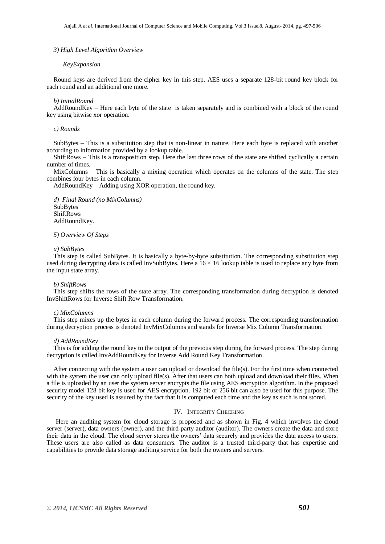## *3) High Level Algorithm Overview*

#### *KeyExpansion*

Round keys are derived from the cipher key in this step. AES uses a separate 128-bit round key block for each round and an additional one more.

#### *b) InitialRound*

AddRoundKey – Here each byte of the state is taken separately and is combined with a block of the round key using bitwise xor operation.

## *c) Rounds*

SubBytes – This is a substitution step that is non-linear in nature. Here each byte is replaced with another according to information provided by a lookup table.

ShiftRows – This is a transposition step. Here the last three rows of the state are shifted cyclically a certain number of times.

MixColumns – This is basically a mixing operation which operates on the columns of the state. The step combines four bytes in each column.

AddRoundKey – Adding using XOR operation, the round key.

*d) Final Round (no MixColumns)* SubBytes ShiftRows AddRoundKey.

#### *5) Overview Of Steps*

#### *a) SubBytes*

This step is called SubBytes. It is basically a byte-by-byte substitution. The corresponding substitution step used during decrypting data is called InvSubBytes. Here a  $16 \times 16$  lookup table is used to replace any byte from the input state array.

#### *b) ShiftRows*

This step shifts the rows of the state array. The corresponding transformation during decryption is denoted InvShiftRows for Inverse Shift Row Transformation.

## *c) MixColumns*

This step mixes up the bytes in each column during the forward process. The corresponding transformation during decryption process is denoted InvMixColumns and stands for Inverse Mix Column Transformation.

#### *d) AddRoundKey*

This is for adding the round key to the output of the previous step during the forward process. The step during decryption is called InvAddRoundKey for Inverse Add Round Key Transformation.

After connecting with the system a user can upload or download the file(s). For the first time when connected with the system the user can only upload file(s). After that users can both upload and download their files. When a file is uploaded by an user the system server encrypts the file using AES encryption algorithm. In the proposed security model 128 bit key is used for AES encryption. 192 bit or 256 bit can also be used for this purpose. The security of the key used is assured by the fact that it is computed each time and the key as such is not stored.

## IV. INTEGRITY CHECKING

Here an auditing system for cloud storage is proposed and as shown in Fig. 4 which involves the cloud server (server), data owners (owner), and the third-party auditor (auditor). The owners create the data and store their data in the cloud. The cloud server stores the owners" data securely and provides the data access to users. These users are also called as data consumers. The auditor is a trusted third-party that has expertise and capabilities to provide data storage auditing service for both the owners and servers.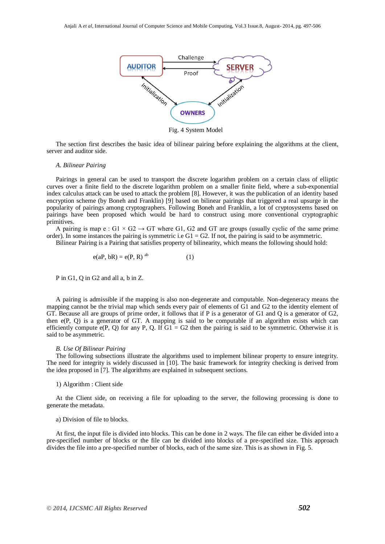

Fig. 4 System Model

The section first describes the basic idea of bilinear pairing before explaining the algorithms at the client, server and auditor side.

## *A. Bilinear Pairing*

Pairings in general can be used to transport the discrete logarithm problem on a certain class of elliptic curves over a finite field to the discrete logarithm problem on a smaller finite field, where a sub-exponential index calculus attack can be used to attack the problem [8]. However, it was the publication of an identity based encryption scheme (by Boneh and Franklin) [9] based on bilinear pairings that triggered a real upsurge in the popularity of pairings among cryptographers. Following Boneh and Franklin, a lot of cryptosystems based on pairings have been proposed which would be hard to construct using more conventional cryptographic primitives.

A pairing is map e : G1  $\times$  G2  $\rightarrow$  GT where G1, G2 and GT are groups (usually cyclic of the same prime order). In some instances the pairing is symmetric i.e  $G1 = G2$ . If not, the pairing is said to be asymmetric.

Bilinear Pairing is a Pairing that satisfies property of bilinearity, which means the following should hold:

$$
e(aP, bR) = e(P, R)^{ab}
$$
 (1)

P in G1, Q in G2 and all a, b in Z.

A pairing is admissible if the mapping is also non-degenerate and computable. Non-degeneracy means the mapping cannot be the trivial map which sends every pair of elements of G1 and G2 to the identity element of GT. Because all are groups of prime order, it follows that if P is a generator of G1 and Q is a generator of G2, then e(P, Q) is a generator of GT. A mapping is said to be computable if an algorithm exists which can efficiently compute  $e(P, Q)$  for any P, Q. If  $G1 = G2$  then the pairing is said to be symmetric. Otherwise it is said to be asymmetric.

## *B. Use Of Bilinear Pairing*

The following subsections illustrate the algorithms used to implement bilinear property to ensure integrity. The need for integrity is widely discussed in [10]. The basic framework for integrity checking is derived from the idea proposed in [7]. The algorithms are explained in subsequent sections.

#### 1) Algorithm : Client side

At the Client side, on receiving a file for uploading to the server, the following processing is done to generate the metadata.

## a) Division of file to blocks.

At first, the input file is divided into blocks. This can be done in 2 ways. The file can either be divided into a pre-specified number of blocks or the file can be divided into blocks of a pre-specified size. This approach divides the file into a pre-specified number of blocks, each of the same size. This is as shown in Fig. 5.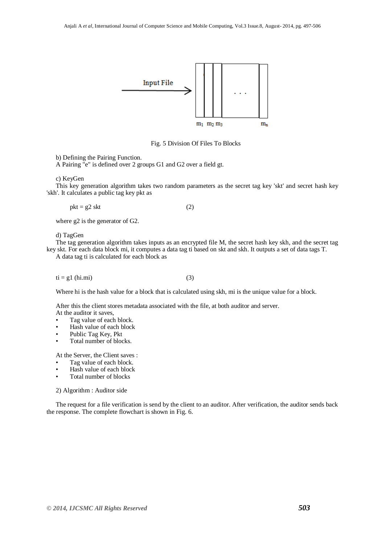

Fig. 5 Division Of Files To Blocks

b) Defining the Pairing Function.

A Pairing "e" is defined over 2 groups G1 and G2 over a field gt.

c) KeyGen

This key generation algorithm takes two random parameters as the secret tag key 'skt' and secret hash key 'skh'. It calculates a public tag key pkt as

 $pkt = g2$  skt (2)

where g2 is the generator of G2.

d) TagGen

The tag generation algorithm takes inputs as an encrypted file M, the secret hash key skh, and the secret tag key skt. For each data block mi, it computes a data tag ti based on skt and skh. It outputs a set of data tags T.

A data tag ti is calculated for each block as

 $ti = g1$  (hi.mi) (3)

Where hi is the hash value for a block that is calculated using skh, mi is the unique value for a block.

After this the client stores metadata associated with the file, at both auditor and server. At the auditor it saves,

- Tag value of each block.
- Hash value of each block
- Public Tag Key, Pkt
- Total number of blocks.

At the Server, the Client saves :

- Tag value of each block.
- Hash value of each block
- Total number of blocks

2) Algorithm : Auditor side

The request for a file verification is send by the client to an auditor. After verification, the auditor sends back the response. The complete flowchart is shown in Fig. 6.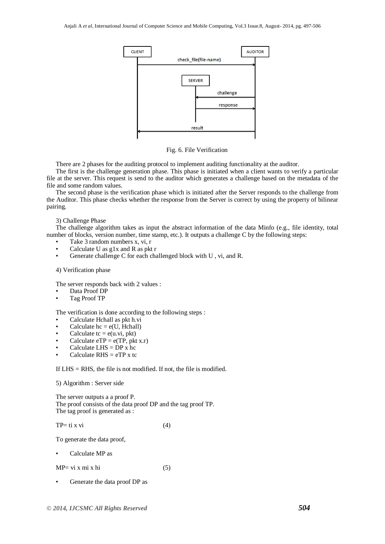

Fig. 6. File Verification

There are 2 phases for the auditing protocol to implement auditing functionality at the auditor.

The first is the challenge generation phase. This phase is initiated when a client wants to verify a particular file at the server. This request is send to the auditor which generates a challenge based on the metadata of the file and some random values.

The second phase is the verification phase which is initiated after the Server responds to the challenge from the Auditor. This phase checks whether the response from the Server is correct by using the property of bilinear pairing.

#### 3) Challenge Phase

The challenge algorithm takes as input the abstract information of the data Minfo (e.g., file identity, total number of blocks, version number, time stamp, etc.). It outputs a challenge C by the following steps:

- Take 3 random numbers x, vi, r
- Calculate U as g1x and R as pkt r
- Generate challenge C for each challenged block with U , vi, and R.

## 4) Verification phase

The server responds back with 2 values :

- Data Proof DP
- Tag Proof TP

The verification is done according to the following steps :

- Calculate Hchall as pkt h.vi
- Calculate  $hc = e(U, Hchall)$
- Calculate  $tc = e(u.vi, \text{pkt})$
- Calculate  $eTP = e(TP, \text{pkt } x.r)$
- Calculate LHS  $=$  DP x hc
- Calculate  $R$ HS = eTP x tc

If LHS = RHS, the file is not modified. If not, the file is modified.

## 5) Algorithm : Server side

The server outputs a a proof P. The proof consists of the data proof DP and the tag proof TP. The tag proof is generated as :

$$
TP = ti x vi \tag{4}
$$

To generate the data proof,

• Calculate MP as

 $MP = vi x mi x hi$  (5)

• Generate the data proof DP as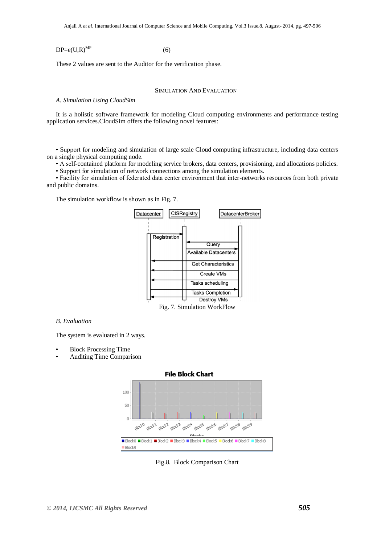$DP = e(U, R)^{MP}$  (6)

These 2 values are sent to the Auditor for the verification phase.

## SIMULATION AND EVALUATION

## *A. Simulation Using CloudSim*

It is a holistic software framework for modeling Cloud computing environments and performance testing application services.CloudSim offers the following novel features:

• Support for modeling and simulation of large scale Cloud computing infrastructure, including data centers on a single physical computing node.

• A self-contained platform for modeling service brokers, data centers, provisioning, and allocations policies.

• Support for simulation of network connections among the simulation elements.

• Facility for simulation of federated data center environment that inter-networks resources from both private and public domains.

The simulation workflow is shown as in Fig. 7.



Fig. 7. Simulation WorkFlow

## *B. Evaluation*

The system is evaluated in 2 ways.

- Block Processing Time
- Auditing Time Comparison



Fig.8. Block Comparison Chart